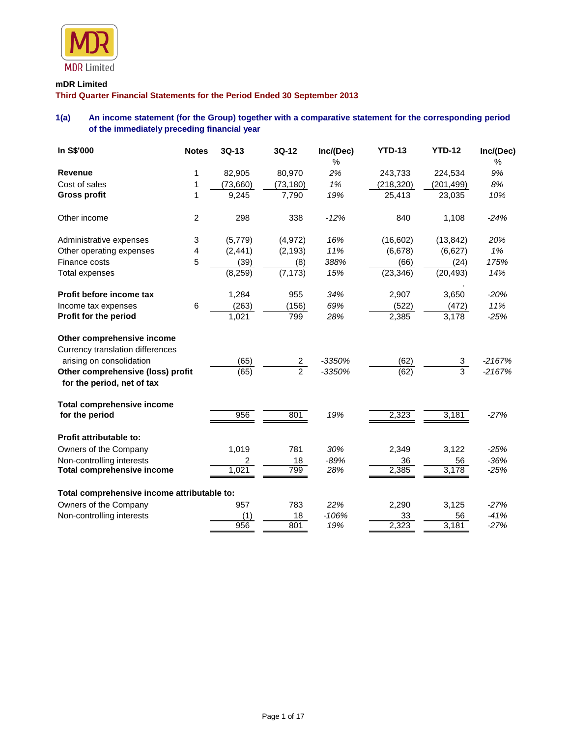

# **mDR Limited**

**Third Quarter Financial Statements for the Period Ended 30 September 2013**

# **1(a) An income statement (for the Group) together with a comparative statement for the corresponding period of the immediately preceding financial year**

| In S\$'000                                                      | <b>Notes</b> | $3Q-13$  | 3Q-12          | Inc/(Dec)  | <b>YTD-13</b> | <b>YTD-12</b>  | Inc/(Dec)  |
|-----------------------------------------------------------------|--------------|----------|----------------|------------|---------------|----------------|------------|
| <b>Revenue</b>                                                  | 1            | 82,905   | 80,970         | $\%$<br>2% | 243,733       | 224,534        | $\%$<br>9% |
| Cost of sales                                                   | 1            | (73,660) | (73, 180)      | 1%         | (218, 320)    | (201, 499)     | 8%         |
| <b>Gross profit</b>                                             | 1            | 9,245    | 7,790          | 19%        | 25,413        | 23,035         | 10%        |
| Other income                                                    | 2            | 298      | 338            | $-12%$     | 840           | 1,108          | $-24%$     |
| Administrative expenses                                         | 3            | (5,779)  | (4,972)        | 16%        | (16, 602)     | (13, 842)      | 20%        |
| Other operating expenses                                        | 4            | (2, 441) | (2, 193)       | 11%        | (6,678)       | (6,627)        | 1%         |
| Finance costs                                                   | 5            | (39)     | (8)            | 388%       | (66)          | (24)           | 175%       |
| <b>Total expenses</b>                                           |              | (8, 259) | (7, 173)       | 15%        | (23, 346)     | (20, 493)      | 14%        |
| Profit before income tax                                        |              | 1,284    | 955            | 34%        | 2,907         | 3,650          | $-20%$     |
| Income tax expenses                                             | 6            | (263)    | (156)          | 69%        | (522)         | (472)          | 11%        |
| Profit for the period                                           |              | 1,021    | 799            | 28%        | 2,385         | 3,178          | $-25%$     |
| Other comprehensive income                                      |              |          |                |            |               |                |            |
| Currency translation differences<br>arising on consolidation    |              | (65)     | $\mathbf{2}$   | $-3350%$   | (62)          | 3              | $-2167%$   |
| Other comprehensive (loss) profit<br>for the period, net of tax |              | (65)     | $\overline{2}$ | $-3350%$   | (62)          | $\overline{3}$ | $-2167%$   |
| <b>Total comprehensive income</b><br>for the period             |              | 956      | 801            | 19%        | 2,323         | 3,181          | $-27%$     |
| Profit attributable to:                                         |              |          |                |            |               |                |            |
| Owners of the Company                                           |              | 1,019    | 781            | 30%        | 2,349         | 3,122          | $-25%$     |
| Non-controlling interests                                       |              | 2        | 18             | $-89%$     | 36            | 56             | $-36%$     |
| <b>Total comprehensive income</b>                               |              | 1,021    | 799            | 28%        | 2,385         | 3,178          | $-25%$     |
| Total comprehensive income attributable to:                     |              |          |                |            |               |                |            |
| Owners of the Company                                           |              | 957      | 783            | 22%        | 2,290         | 3,125          | $-27%$     |
| Non-controlling interests                                       |              | (1)      | 18             | $-106%$    | 33            | 56             | $-41%$     |
|                                                                 |              | 956      | 801            | 19%        | 2,323         | 3,181          | $-27%$     |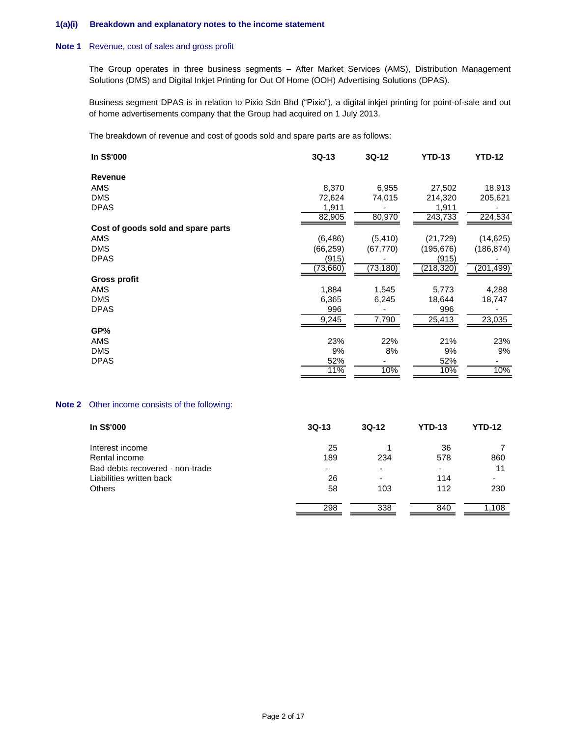### **1(a)(i) Breakdown and explanatory notes to the income statement**

#### **Note 1** Revenue, cost of sales and gross profit

The Group operates in three business segments – After Market Services (AMS), Distribution Management Solutions (DMS) and Digital Inkjet Printing for Out Of Home (OOH) Advertising Solutions (DPAS).

Business segment DPAS is in relation to Pixio Sdn Bhd ("Pixio"), a digital inkjet printing for point-of-sale and out of home advertisements company that the Group had acquired on 1 July 2013.

The breakdown of revenue and cost of goods sold and spare parts are as follows:

| In S\$'000                                                                                                                                                                                                                     | 3Q-13     | 3Q-12     | <b>YTD-13</b> | <b>YTD-12</b> |
|--------------------------------------------------------------------------------------------------------------------------------------------------------------------------------------------------------------------------------|-----------|-----------|---------------|---------------|
| <b>Revenue</b>                                                                                                                                                                                                                 |           |           |               |               |
| AMS                                                                                                                                                                                                                            | 8,370     | 6,955     | 27,502        | 18,913        |
| <b>DMS</b>                                                                                                                                                                                                                     | 72,624    | 74,015    | 214,320       | 205,621       |
| <b>DPAS</b>                                                                                                                                                                                                                    | 1,911     |           | 1,911         |               |
|                                                                                                                                                                                                                                | 82,905    | 80,970    | 243,733       | 224,534       |
| Cost of goods sold and spare parts                                                                                                                                                                                             |           |           |               |               |
| AMS                                                                                                                                                                                                                            | (6, 486)  | (5, 410)  | (21, 729)     | (14, 625)     |
| <b>DMS</b>                                                                                                                                                                                                                     | (66, 259) | (67, 770) | (195, 676)    | (186, 874)    |
| <b>DPAS</b>                                                                                                                                                                                                                    | (915)     |           | (915)         |               |
|                                                                                                                                                                                                                                | (73, 660) | (73, 180) | (218, 320)    | (201, 499)    |
| <b>Gross profit</b>                                                                                                                                                                                                            |           |           |               |               |
| <b>AMS</b>                                                                                                                                                                                                                     | 1,884     | 1,545     | 5,773         | 4,288         |
| <b>DMS</b>                                                                                                                                                                                                                     | 6,365     | 6,245     | 18,644        | 18,747        |
| <b>DPAS</b>                                                                                                                                                                                                                    | 996       |           | 996           |               |
|                                                                                                                                                                                                                                | 9,245     | 7,790     | 25,413        | 23,035        |
| GP%                                                                                                                                                                                                                            |           |           |               |               |
| AMS                                                                                                                                                                                                                            | 23%       | 22%       | 21%           | 23%           |
| <b>DMS</b>                                                                                                                                                                                                                     | 9%        | 8%        | 9%            | 9%            |
| <b>DPAS</b>                                                                                                                                                                                                                    | 52%       |           | 52%           |               |
|                                                                                                                                                                                                                                | 11%       | 10%       | 10%           | 10%           |
|                                                                                                                                                                                                                                |           |           |               |               |
|                                                                                                                                                                                                                                |           |           |               |               |
| the state of the state of the state of the state of the state of the state of the state of the state of the state of the state of the state of the state of the state of the state of the state of the state of the state of t |           |           |               |               |

## **Note 2** Other income consists of the following:

| In S\$'000                      | $3Q-13$ | $3Q-12$ | <b>YTD-13</b> | <b>YTD-12</b> |
|---------------------------------|---------|---------|---------------|---------------|
| Interest income                 | 25      |         | 36            |               |
| Rental income                   | 189     | 234     | 578           | 860           |
| Bad debts recovered - non-trade | -       | -       | ۰             | 11            |
| Liabilities written back        | 26      | -       | 114           |               |
| <b>Others</b>                   | 58      | 103     | 112           | 230           |
|                                 | 298     | 338     | 840           | .108          |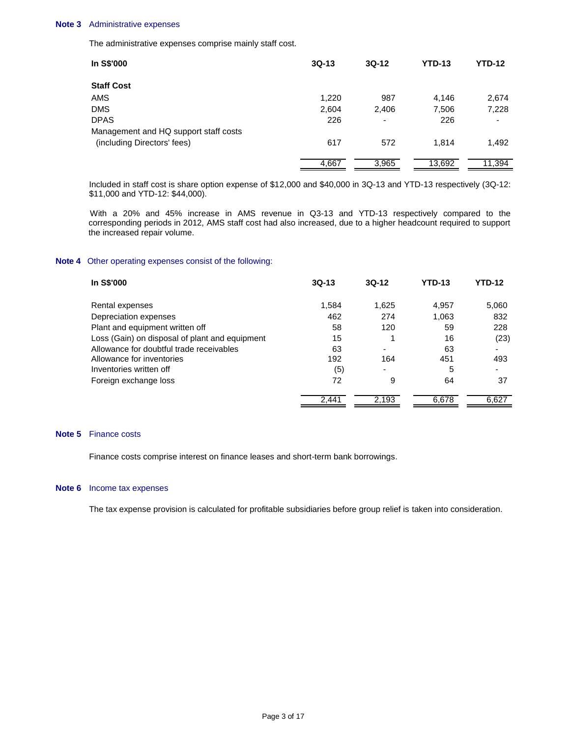#### **Note 3** Administrative expenses

The administrative expenses comprise mainly staff cost.

| In S\$'000                            | $3Q-13$ | $3Q-12$                  | <b>YTD-13</b> | <b>YTD-12</b> |
|---------------------------------------|---------|--------------------------|---------------|---------------|
| <b>Staff Cost</b>                     |         |                          |               |               |
| AMS                                   | 1,220   | 987                      | 4.146         | 2,674         |
| DMS                                   | 2,604   | 2,406                    | 7,506         | 7,228         |
| <b>DPAS</b>                           | 226     | $\overline{\phantom{0}}$ | 226           |               |
| Management and HQ support staff costs |         |                          |               |               |
| (including Directors' fees)           | 617     | 572                      | 1.814         | 1,492         |
|                                       | 4,667   | 3,965                    | 13,692        | 11,394        |

Included in staff cost is share option expense of \$12,000 and \$40,000 in 3Q-13 and YTD-13 respectively (3Q-12: \$11,000 and YTD-12: \$44,000).

 With a 20% and 45% increase in AMS revenue in Q3-13 and YTD-13 respectively compared to the corresponding periods in 2012, AMS staff cost had also increased, due to a higher headcount required to support the increased repair volume.

### **Note 4** Other operating expenses consist of the following:

| In S\$'000                                     | $3Q-13$ | $3Q-12$ | YTD-13 | YTD-12 |
|------------------------------------------------|---------|---------|--------|--------|
| Rental expenses                                | 1,584   | 1,625   | 4,957  | 5,060  |
| Depreciation expenses                          | 462     | 274     | 1,063  | 832    |
| Plant and equipment written off                | 58      | 120     | 59     | 228    |
| Loss (Gain) on disposal of plant and equipment | 15      |         | 16     | (23)   |
| Allowance for doubtful trade receivables       | 63      |         | 63     |        |
| Allowance for inventories                      | 192     | 164     | 451    | 493    |
| Inventories written off                        | (5)     | ٠       | 5      |        |
| Foreign exchange loss                          | 72      | 9       | 64     | 37     |
|                                                | 2,441   | 2,193   | 6,678  | 6,627  |

### **Note 5** Finance costs

Finance costs comprise interest on finance leases and short-term bank borrowings.

#### **Note 6** Income tax expenses

The tax expense provision is calculated for profitable subsidiaries before group relief is taken into consideration.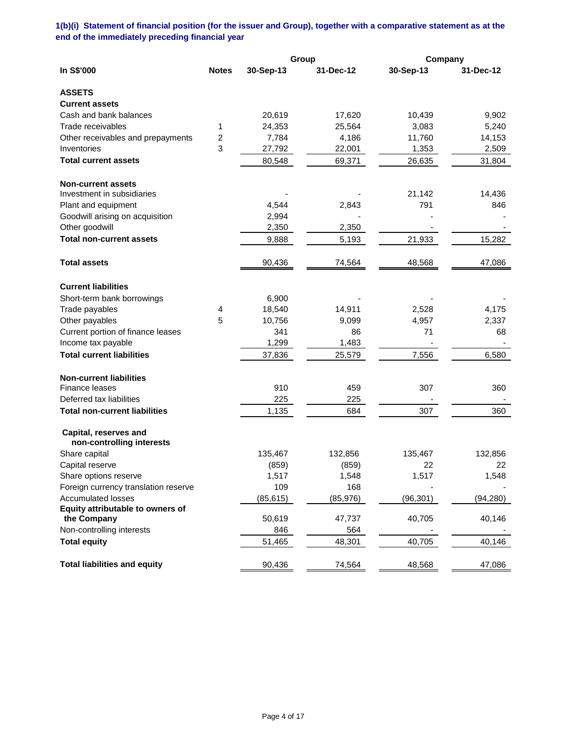**1(b)(i) Statement of financial position (for the issuer and Group), together with a comparative statement as at the end of the immediately preceding financial year**

|                                                    |                  |           | Group     | Company   |           |
|----------------------------------------------------|------------------|-----------|-----------|-----------|-----------|
| In S\$'000                                         | <b>Notes</b>     | 30-Sep-13 | 31-Dec-12 | 30-Sep-13 | 31-Dec-12 |
| <b>ASSETS</b>                                      |                  |           |           |           |           |
| <b>Current assets</b>                              |                  |           |           |           |           |
| Cash and bank balances                             |                  | 20,619    | 17,620    | 10,439    | 9,902     |
| Trade receivables                                  | 1                | 24,353    | 25,564    | 3,083     | 5,240     |
| Other receivables and prepayments                  | $\boldsymbol{2}$ | 7,784     | 4,186     | 11,760    | 14,153    |
| Inventories                                        | 3                | 27,792    | 22,001    | 1,353     | 2,509     |
| <b>Total current assets</b>                        |                  | 80,548    | 69,371    | 26,635    | 31,804    |
| <b>Non-current assets</b>                          |                  |           |           |           |           |
| Investment in subsidiaries                         |                  |           |           | 21,142    | 14,436    |
| Plant and equipment                                |                  | 4,544     | 2,843     | 791       | 846       |
| Goodwill arising on acquisition                    |                  | 2,994     |           |           |           |
| Other goodwill                                     |                  | 2,350     | 2,350     |           |           |
| <b>Total non-current assets</b>                    |                  | 9,888     | 5,193     | 21,933    | 15,282    |
| <b>Total assets</b>                                |                  | 90,436    | 74,564    | 48,568    | 47,086    |
| <b>Current liabilities</b>                         |                  |           |           |           |           |
| Short-term bank borrowings                         |                  | 6,900     |           |           |           |
| Trade payables                                     | 4                | 18,540    | 14,911    | 2,528     | 4,175     |
| Other payables                                     | 5                | 10,756    | 9,099     | 4,957     | 2,337     |
| Current portion of finance leases                  |                  | 341       | 86        | 71        | 68        |
| Income tax payable                                 |                  | 1,299     | 1,483     |           |           |
| <b>Total current liabilities</b>                   |                  | 37,836    | 25,579    | 7,556     | 6,580     |
| <b>Non-current liabilities</b>                     |                  |           |           |           |           |
| <b>Finance leases</b>                              |                  | 910       | 459       | 307       | 360       |
| Deferred tax liabilities                           |                  | 225       | 225       |           |           |
| <b>Total non-current liabilities</b>               |                  | 1,135     | 684       | 307       | 360       |
| Capital, reserves and<br>non-controlling interests |                  |           |           |           |           |
| Share capital                                      |                  | 135,467   | 132,856   | 135,467   | 132,856   |
| Capital reserve                                    |                  | (859)     | (859)     | 22        | 22        |
| Share options reserve                              |                  | 1,517     | 1,548     | 1,517     | 1,548     |
| Foreign currency translation reserve               |                  | 109       | 168       |           |           |
| <b>Accumulated losses</b>                          |                  | (85, 615) | (85, 976) | (96, 301) | (94, 280) |
| Equity attributable to owners of                   |                  |           |           |           |           |
| the Company                                        |                  | 50,619    | 47,737    | 40,705    | 40,146    |
| Non-controlling interests                          |                  | 846       | 564       |           |           |
| <b>Total equity</b>                                |                  | 51,465    | 48,301    | 40,705    | 40,146    |
| <b>Total liabilities and equity</b>                |                  | 90,436    | 74,564    | 48,568    | 47,086    |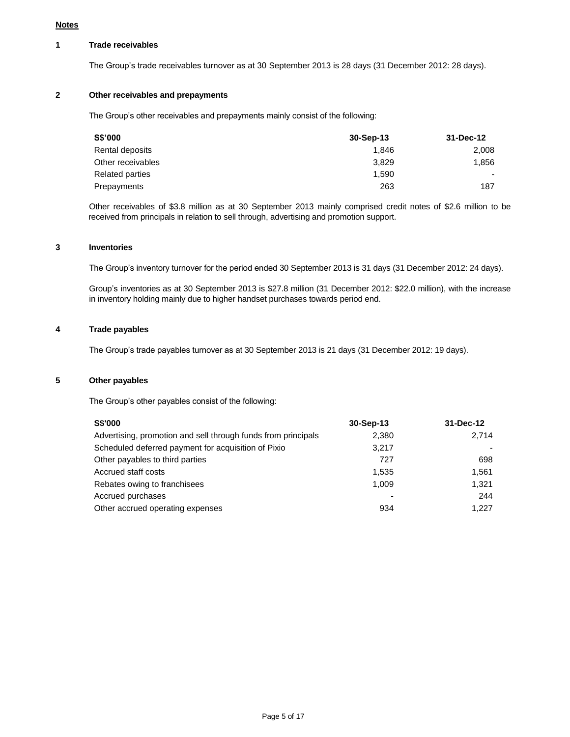## **1 Trade receivables**

The Group's trade receivables turnover as at 30 September 2013 is 28 days (31 December 2012: 28 days).

## **2 Other receivables and prepayments**

The Group's other receivables and prepayments mainly consist of the following:

| S\$'000           | $30-Sep-13$ | 31-Dec-12                |
|-------------------|-------------|--------------------------|
| Rental deposits   | 1.846       | 2,008                    |
| Other receivables | 3.829       | 1,856                    |
| Related parties   | 1.590       | $\overline{\phantom{0}}$ |
| Prepayments       | 263         | 187                      |

Other receivables of \$3.8 million as at 30 September 2013 mainly comprised credit notes of \$2.6 million to be received from principals in relation to sell through, advertising and promotion support.

## **3 Inventories**

The Group's inventory turnover for the period ended 30 September 2013 is 31 days (31 December 2012: 24 days).

Group's inventories as at 30 September 2013 is \$27.8 million (31 December 2012: \$22.0 million), with the increase in inventory holding mainly due to higher handset purchases towards period end.

## **4 Trade payables**

The Group's trade payables turnover as at 30 September 2013 is 21 days (31 December 2012: 19 days).

### **5 Other payables**

The Group's other payables consist of the following:

| <b>S\$'000</b>                                                | 30-Sep-13 | 31-Dec-12 |
|---------------------------------------------------------------|-----------|-----------|
| Advertising, promotion and sell through funds from principals | 2,380     | 2.714     |
| Scheduled deferred payment for acquisition of Pixio           | 3.217     |           |
| Other payables to third parties                               | 727       | 698       |
| Accrued staff costs                                           | 1.535     | 1.561     |
| Rebates owing to franchisees                                  | 1.009     | 1.321     |
| Accrued purchases                                             |           | 244       |
| Other accrued operating expenses                              | 934       | 1.227     |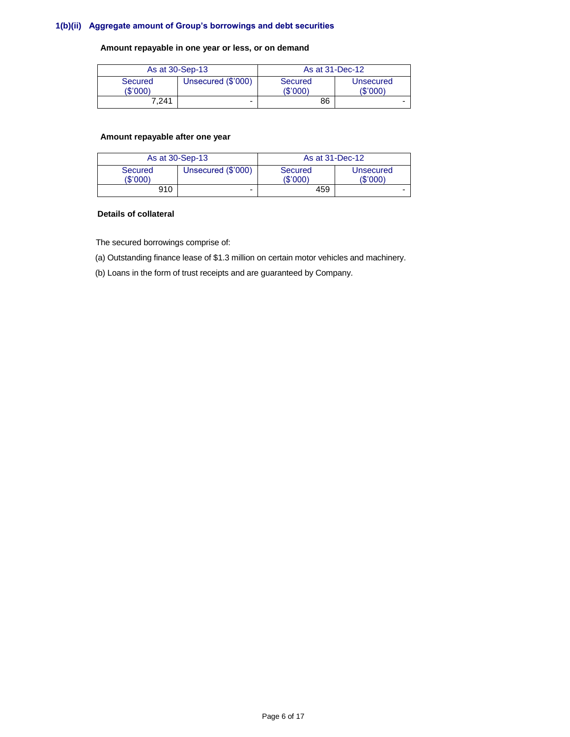## **1(b)(ii) Aggregate amount of Group's borrowings and debt securities**

## **Amount repayable in one year or less, or on demand**

| As at 30-Sep-13     |                    | As at 31-Dec-12    |                       |
|---------------------|--------------------|--------------------|-----------------------|
| Secured<br>(\$'000) | Unsecured (\$'000) | Secured<br>(S'000) | Unsecured<br>(\$'000) |
| 7.241               | $\blacksquare$     | 86                 |                       |

## **Amount repayable after one year**

| As at 30-Sep-13     |                    | As at 31-Dec-12     |                       |
|---------------------|--------------------|---------------------|-----------------------|
| Secured<br>(\$'000) | Unsecured (\$'000) | Secured<br>(\$'000) | Unsecured<br>(\$'000) |
| 910                 | -                  | 459                 |                       |

### **Details of collateral**

The secured borrowings comprise of:

(a) Outstanding finance lease of \$1.3 million on certain motor vehicles and machinery.

(b) Loans in the form of trust receipts and are guaranteed by Company.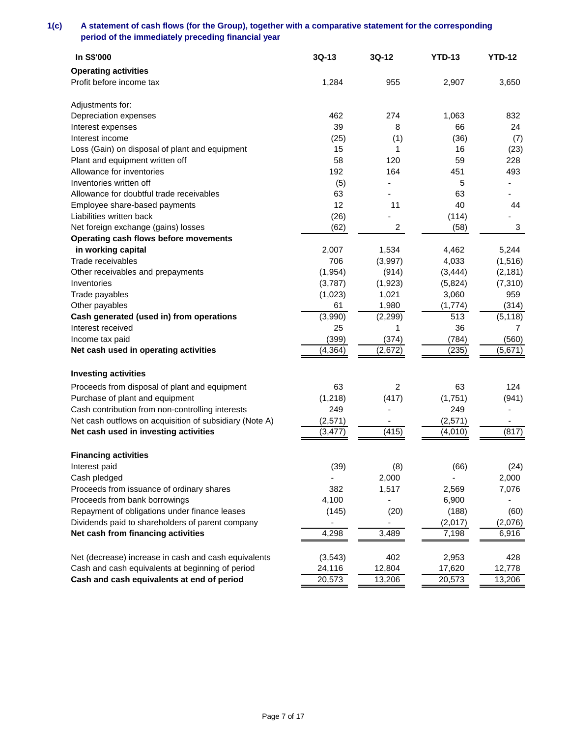# **1(c) A statement of cash flows (for the Group), together with a comparative statement for the corresponding period of the immediately preceding financial year**

| In S\$'000                                              | $3Q-13$  | $3Q-12$        | <b>YTD-13</b> | <b>YTD-12</b> |
|---------------------------------------------------------|----------|----------------|---------------|---------------|
| <b>Operating activities</b>                             |          |                |               |               |
| Profit before income tax                                | 1,284    | 955            | 2,907         | 3,650         |
|                                                         |          |                |               |               |
| Adjustments for:                                        |          |                |               |               |
| Depreciation expenses                                   | 462      | 274            | 1,063         | 832           |
| Interest expenses                                       | 39       | 8              | 66            | 24            |
| Interest income                                         | (25)     | (1)            | (36)          | (7)           |
| Loss (Gain) on disposal of plant and equipment          | 15       | 1              | 16            | (23)          |
| Plant and equipment written off                         | 58       | 120            | 59            | 228           |
| Allowance for inventories                               | 192      | 164            | 451           | 493           |
| Inventories written off                                 | (5)      |                | 5             |               |
| Allowance for doubtful trade receivables                | 63       |                | 63            |               |
| Employee share-based payments                           | 12       | 11             | 40            | 44            |
| Liabilities written back                                | (26)     |                | (114)         |               |
| Net foreign exchange (gains) losses                     | (62)     | $\overline{a}$ | (58)          | 3             |
| Operating cash flows before movements                   |          |                |               |               |
| in working capital                                      | 2,007    | 1,534          | 4,462         | 5,244         |
| Trade receivables                                       | 706      | (3,997)        | 4,033         | (1, 516)      |
| Other receivables and prepayments                       | (1, 954) | (914)          | (3, 444)      | (2, 181)      |
| Inventories                                             | (3,787)  | (1,923)        | (5,824)       | (7,310)       |
| Trade payables                                          | (1,023)  | 1,021          | 3,060         | 959           |
| Other payables                                          | 61       | 1,980          | (1,774)       | (314)         |
| Cash generated (used in) from operations                | (3,990)  | (2, 299)       | 513           | (5, 118)      |
| Interest received                                       | 25       | 1              | 36            | 7             |
| Income tax paid                                         | (399)    | (374)          | (784)         | (560)         |
| Net cash used in operating activities                   | (4, 364) | (2,672)        | (235)         | (5,671)       |
|                                                         |          |                |               |               |
| <b>Investing activities</b>                             |          |                |               |               |
| Proceeds from disposal of plant and equipment           | 63       | 2              | 63            | 124           |
| Purchase of plant and equipment                         | (1,218)  | (417)          | (1,751)       | (941)         |
| Cash contribution from non-controlling interests        | 249      |                | 249           |               |
| Net cash outflows on acquisition of subsidiary (Note A) | (2, 571) |                | (2,571)       |               |
| Net cash used in investing activities                   | (3, 477) | (415)          | (4,010)       | (817)         |
|                                                         |          |                |               |               |
| <b>Financing activities</b>                             |          |                |               |               |
| Interest paid                                           | (39)     | (8)            | (66)          | (24)          |
| Cash pledged                                            |          | 2,000          |               | 2,000         |
| Proceeds from issuance of ordinary shares               | 382      | 1,517          | 2,569         | 7,076         |
| Proceeds from bank borrowings                           | 4,100    |                | 6,900         |               |
| Repayment of obligations under finance leases           | (145)    | (20)           | (188)         | (60)          |
| Dividends paid to shareholders of parent company        |          |                | (2,017)       | (2,076)       |
| Net cash from financing activities                      | 4,298    | 3,489          | 7,198         | 6,916         |
|                                                         |          |                |               |               |
| Net (decrease) increase in cash and cash equivalents    | (3,543)  | 402            | 2,953         | 428           |
| Cash and cash equivalents at beginning of period        | 24,116   | 12,804         | 17,620        | 12,778        |
| Cash and cash equivalents at end of period              | 20,573   | 13,206         | 20,573        | 13,206        |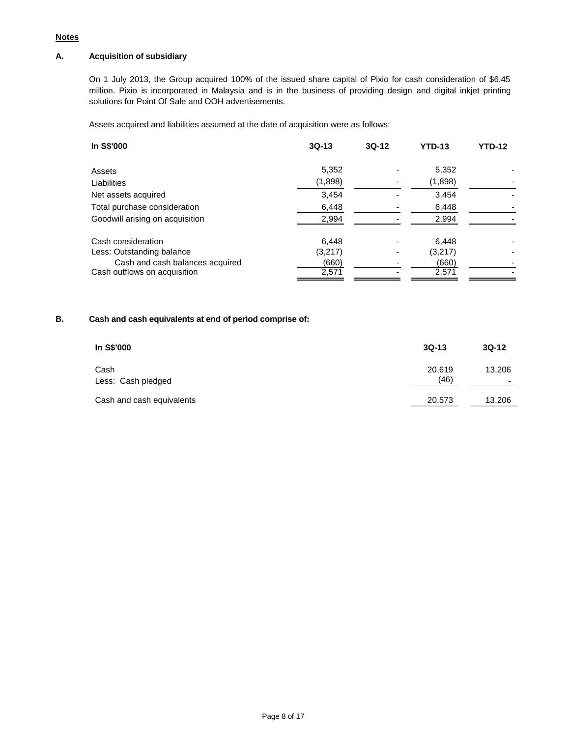## **Notes**

# **A. Acquisition of subsidiary**

On 1 July 2013, the Group acquired 100% of the issued share capital of Pixio for cash consideration of \$6.45 million. Pixio is incorporated in Malaysia and is in the business of providing design and digital inkjet printing solutions for Point Of Sale and OOH advertisements.

Assets acquired and liabilities assumed at the date of acquisition were as follows:

| In S\$'000                      | $3Q-13$ | $3Q-12$ | <b>YTD-13</b> | <b>YTD-12</b> |
|---------------------------------|---------|---------|---------------|---------------|
| Assets                          | 5,352   |         | 5,352         |               |
| Liabilities                     | (1,898) |         | (1,898)       |               |
| Net assets acquired             | 3,454   |         | 3,454         |               |
| Total purchase consideration    | 6,448   |         | 6,448         |               |
| Goodwill arising on acquisition | 2,994   |         | 2,994         |               |
| Cash consideration              | 6,448   |         | 6,448         |               |
| Less: Outstanding balance       | (3,217) |         | (3,217)       |               |
| Cash and cash balances acquired | (660)   |         | (660)         |               |
| Cash outflows on acquisition    | 2,571   |         | 2,571         |               |

# **B. Cash and cash equivalents at end of period comprise of:**

| In S\$'000                 | $3Q-13$        | $3Q-12$                  |
|----------------------------|----------------|--------------------------|
| Cash<br>Less: Cash pledged | 20,619<br>(46) | 13,206<br>$\blacksquare$ |
| Cash and cash equivalents  | 20,573         | 13,206                   |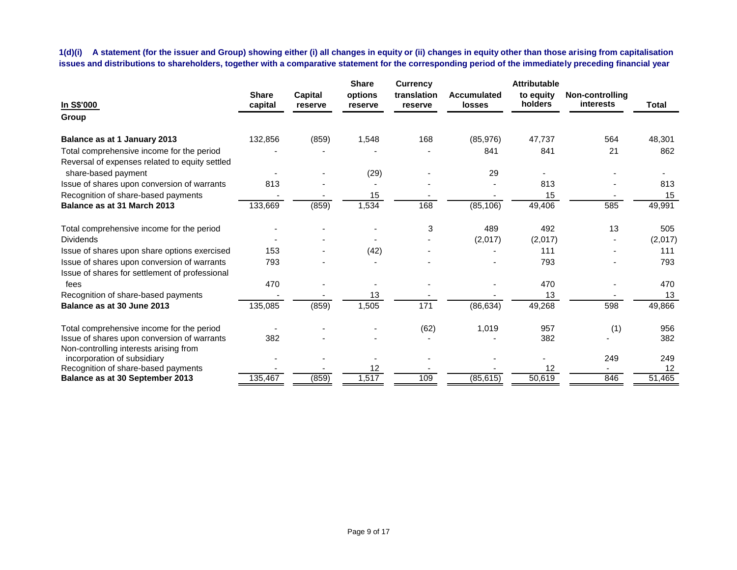**1(d)(i) A statement (for the issuer and Group) showing either (i) all changes in equity or (ii) changes in equity other than those arising from capitalisation issues and distributions to shareholders, together with a comparative statement for the corresponding period of the immediately preceding financial year**

| In S\$'000                                     | <b>Share</b><br>capital | <b>Capital</b><br>reserve | <b>Share</b><br>options<br>reserve | <b>Currency</b><br>translation<br>reserve | <b>Accumulated</b><br>losses | <b>Attributable</b><br>to equity<br>holders | <b>Non-controlling</b><br><b>interests</b> | <b>Total</b> |
|------------------------------------------------|-------------------------|---------------------------|------------------------------------|-------------------------------------------|------------------------------|---------------------------------------------|--------------------------------------------|--------------|
| Group                                          |                         |                           |                                    |                                           |                              |                                             |                                            |              |
| Balance as at 1 January 2013                   | 132,856                 | (859)                     | 1,548                              | 168                                       | (85, 976)                    | 47,737                                      | 564                                        | 48,301       |
| Total comprehensive income for the period      |                         |                           |                                    |                                           | 841                          | 841                                         | 21                                         | 862          |
| Reversal of expenses related to equity settled |                         |                           |                                    |                                           |                              |                                             |                                            |              |
| share-based payment                            |                         |                           | (29)                               |                                           | 29                           |                                             |                                            |              |
| Issue of shares upon conversion of warrants    | 813                     |                           |                                    |                                           |                              | 813                                         |                                            | 813          |
| Recognition of share-based payments            |                         |                           | 15                                 |                                           |                              | 15                                          |                                            | 15           |
| Balance as at 31 March 2013                    | 133,669                 | (859)                     | 1,534                              | 168                                       | (85, 106)                    | 49,406                                      | 585                                        | 49,991       |
| Total comprehensive income for the period      |                         |                           |                                    | 3                                         | 489                          | 492                                         | 13                                         | 505          |
| <b>Dividends</b>                               |                         |                           |                                    |                                           | (2,017)                      | (2,017)                                     |                                            | (2,017)      |
| Issue of shares upon share options exercised   | 153                     |                           | (42)                               |                                           |                              | 111                                         |                                            | 111          |
| Issue of shares upon conversion of warrants    | 793                     |                           |                                    |                                           |                              | 793                                         |                                            | 793          |
| Issue of shares for settlement of professional |                         |                           |                                    |                                           |                              |                                             |                                            |              |
| fees                                           | 470                     |                           |                                    |                                           |                              | 470                                         |                                            | 470          |
| Recognition of share-based payments            |                         |                           | 13                                 |                                           |                              | 13                                          |                                            | 13           |
| Balance as at 30 June 2013                     | 135,085                 | (859)                     | 1,505                              | $\frac{1}{171}$                           | (86, 634)                    | 49,268                                      | 598                                        | 49,866       |
| Total comprehensive income for the period      |                         |                           |                                    | (62)                                      | 1,019                        | 957                                         | (1)                                        | 956          |
| Issue of shares upon conversion of warrants    | 382                     |                           |                                    |                                           |                              | 382                                         |                                            | 382          |
| Non-controlling interests arising from         |                         |                           |                                    |                                           |                              |                                             |                                            |              |
| incorporation of subsidiary                    |                         |                           |                                    |                                           |                              |                                             | 249                                        | 249          |
| Recognition of share-based payments            |                         |                           | 12                                 |                                           |                              | 12                                          |                                            | 12           |
| <b>Balance as at 30 September 2013</b>         | 135,467                 | (859)                     | 1,517                              | 109                                       | (85, 615)                    | 50,619                                      | 846                                        | 51,465       |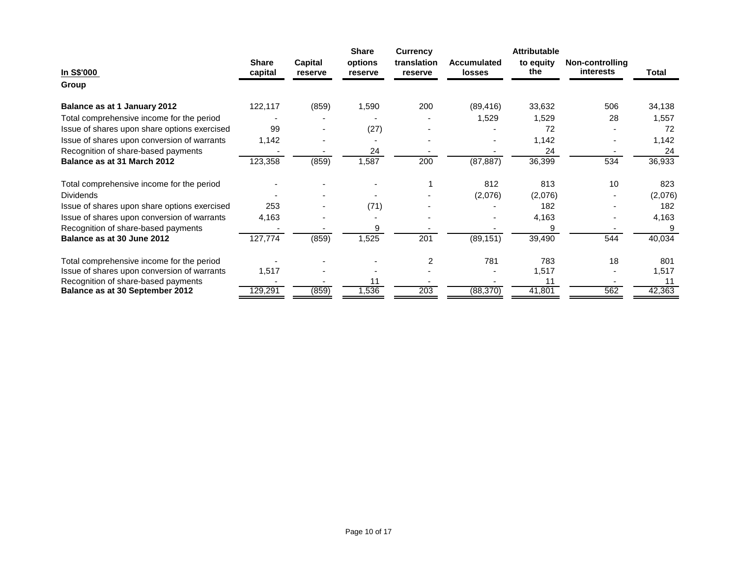|                                              |                         |                    | <b>Share</b>       | <b>Currency</b>        |                                     | <b>Attributable</b> |                              |         |
|----------------------------------------------|-------------------------|--------------------|--------------------|------------------------|-------------------------------------|---------------------|------------------------------|---------|
| In S\$'000                                   | <b>Share</b><br>capital | Capital<br>reserve | options<br>reserve | translation<br>reserve | <b>Accumulated</b><br><b>losses</b> | to equity<br>the    | Non-controlling<br>interests | Total   |
| Group                                        |                         |                    |                    |                        |                                     |                     |                              |         |
| Balance as at 1 January 2012                 | 122,117                 | (859)              | 1,590              | 200                    | (89, 416)                           | 33,632              | 506                          | 34,138  |
| Total comprehensive income for the period    |                         |                    |                    |                        | 1,529                               | 1,529               | 28                           | 1,557   |
| Issue of shares upon share options exercised | 99                      |                    | (27)               |                        |                                     | 72                  |                              | 72      |
| Issue of shares upon conversion of warrants  | 1,142                   |                    |                    |                        |                                     | 1,142               |                              | 1,142   |
| Recognition of share-based payments          |                         |                    | 24                 |                        |                                     | 24                  |                              | 24      |
| Balance as at 31 March 2012                  | 123,358                 | (859)              | 1,587              | 200                    | (87, 887)                           | 36,399              | 534                          | 36,933  |
| Total comprehensive income for the period    |                         |                    |                    |                        | 812                                 | 813                 | 10                           | 823     |
| <b>Dividends</b>                             |                         |                    |                    |                        | (2,076)                             | (2,076)             |                              | (2,076) |
| Issue of shares upon share options exercised | 253                     |                    | (71)               |                        |                                     | 182                 |                              | 182     |
| Issue of shares upon conversion of warrants  | 4,163                   |                    |                    |                        |                                     | 4,163               |                              | 4,163   |
| Recognition of share-based payments          |                         |                    | 9                  |                        |                                     | 9                   |                              |         |
| Balance as at 30 June 2012                   | 127,774                 | (859)              | 1,525              | 201                    | (89, 151)                           | 39,490              | 544                          | 40,034  |
| Total comprehensive income for the period    |                         |                    |                    | $\overline{c}$         | 781                                 | 783                 | 18                           | 801     |
| Issue of shares upon conversion of warrants  | 1,517                   |                    |                    |                        |                                     | 1,517               |                              | 1,517   |
| Recognition of share-based payments          |                         |                    | 11                 |                        |                                     | 11                  |                              |         |
| Balance as at 30 September 2012              | 129,291                 | (859)              | 1,536              | 203                    | (88, 370)                           | 41,801              | 562                          | 42,363  |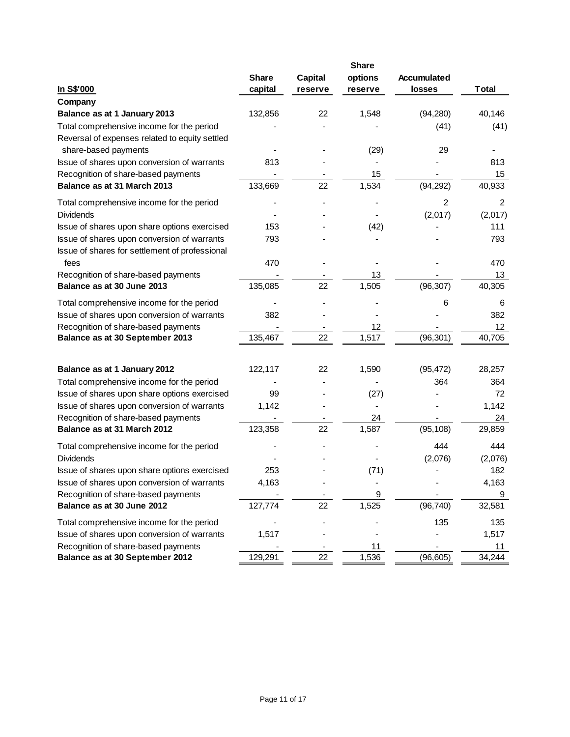|                                                | <b>Share</b> |                           | <b>Share</b><br>options | Accumulated    |              |
|------------------------------------------------|--------------|---------------------------|-------------------------|----------------|--------------|
| In S\$'000                                     | capital      | <b>Capital</b><br>reserve | reserve                 | losses         | <b>Total</b> |
| Company                                        |              |                           |                         |                |              |
| Balance as at 1 January 2013                   | 132,856      | 22                        | 1,548                   | (94, 280)      | 40,146       |
| Total comprehensive income for the period      |              |                           |                         | (41)           | (41)         |
| Reversal of expenses related to equity settled |              |                           |                         |                |              |
| share-based payments                           |              |                           | (29)                    | 29             |              |
| Issue of shares upon conversion of warrants    | 813          |                           |                         |                | 813          |
| Recognition of share-based payments            |              |                           | 15                      |                | 15           |
| Balance as at 31 March 2013                    | 133,669      | 22                        | 1,534                   | (94, 292)      | 40,933       |
| Total comprehensive income for the period      |              |                           |                         | $\overline{2}$ | 2            |
| <b>Dividends</b>                               |              |                           |                         | (2,017)        | (2,017)      |
| Issue of shares upon share options exercised   | 153          |                           | (42)                    |                | 111          |
| Issue of shares upon conversion of warrants    | 793          |                           |                         |                | 793          |
| Issue of shares for settlement of professional |              |                           |                         |                |              |
| fees                                           | 470          |                           |                         |                | 470          |
| Recognition of share-based payments            |              |                           | 13                      |                | 13           |
| Balance as at 30 June 2013                     | 135,085      | 22                        | 1,505                   | (96, 307)      | 40,305       |
| Total comprehensive income for the period      |              |                           |                         | 6              | 6            |
| Issue of shares upon conversion of warrants    | 382          |                           |                         |                | 382          |
| Recognition of share-based payments            |              |                           | 12                      |                | 12           |
| Balance as at 30 September 2013                | 135,467      | 22                        | 1,517                   | (96, 301)      | 40,705       |
|                                                |              |                           |                         |                |              |
| Balance as at 1 January 2012                   | 122,117      | 22                        | 1,590                   | (95, 472)      | 28,257       |
| Total comprehensive income for the period      |              |                           |                         | 364            | 364          |
| Issue of shares upon share options exercised   | 99           |                           | (27)                    |                | 72           |
| Issue of shares upon conversion of warrants    | 1,142        |                           |                         |                | 1,142        |
| Recognition of share-based payments            |              |                           | 24                      |                | 24           |
| Balance as at 31 March 2012                    | 123,358      | 22                        | 1,587                   | (95, 108)      | 29,859       |
| Total comprehensive income for the period      |              |                           |                         | 444            | 444          |
| <b>Dividends</b>                               |              |                           |                         | (2,076)        | (2,076)      |
| Issue of shares upon share options exercised   | 253          |                           | (71)                    |                | 182          |
| Issue of shares upon conversion of warrants    | 4,163        |                           |                         |                | 4,163        |
| Recognition of share-based payments            |              |                           | 9                       |                | 9            |
| Balance as at 30 June 2012                     | 127,774      | 22                        | 1,525                   | (96, 740)      | 32,581       |
| Total comprehensive income for the period      |              |                           |                         | 135            | 135          |
| Issue of shares upon conversion of warrants    | 1,517        |                           |                         |                | 1,517        |
| Recognition of share-based payments            |              |                           | 11                      |                | 11           |
| Balance as at 30 September 2012                | 129,291      | 22                        | 1,536                   | (96, 605)      | 34,244       |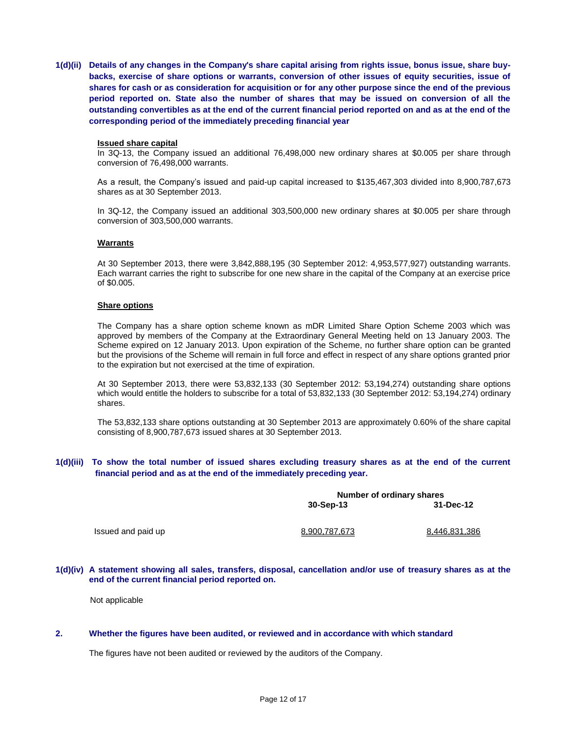**1(d)(ii) Details of any changes in the Company's share capital arising from rights issue, bonus issue, share buybacks, exercise of share options or warrants, conversion of other issues of equity securities, issue of shares for cash or as consideration for acquisition or for any other purpose since the end of the previous period reported on. State also the number of shares that may be issued on conversion of all the outstanding convertibles as at the end of the current financial period reported on and as at the end of the corresponding period of the immediately preceding financial year**

#### **Issued share capital**

In 3Q-13, the Company issued an additional 76,498,000 new ordinary shares at \$0.005 per share through conversion of 76,498,000 warrants.

As a result, the Company's issued and paid-up capital increased to \$135,467,303 divided into 8,900,787,673 shares as at 30 September 2013.

In 3Q-12, the Company issued an additional 303,500,000 new ordinary shares at \$0.005 per share through conversion of 303,500,000 warrants.

#### **Warrants**

At 30 September 2013, there were 3,842,888,195 (30 September 2012: 4,953,577,927) outstanding warrants. Each warrant carries the right to subscribe for one new share in the capital of the Company at an exercise price of \$0.005.

#### **Share options**

The Company has a share option scheme known as mDR Limited Share Option Scheme 2003 which was approved by members of the Company at the Extraordinary General Meeting held on 13 January 2003. The Scheme expired on 12 January 2013. Upon expiration of the Scheme, no further share option can be granted but the provisions of the Scheme will remain in full force and effect in respect of any share options granted prior to the expiration but not exercised at the time of expiration.

At 30 September 2013, there were 53,832,133 (30 September 2012: 53,194,274) outstanding share options which would entitle the holders to subscribe for a total of 53,832,133 (30 September 2012: 53,194,274) ordinary shares.

The 53,832,133 share options outstanding at 30 September 2013 are approximately 0.60% of the share capital consisting of 8,900,787,673 issued shares at 30 September 2013.

## **1(d)(iii) To show the total number of issued shares excluding treasury shares as at the end of the current financial period and as at the end of the immediately preceding year.**

|                    | Number of ordinary shares<br>31-Dec-12<br>30-Sep-13 |               |  |  |
|--------------------|-----------------------------------------------------|---------------|--|--|
| Issued and paid up |                                                     |               |  |  |
|                    | 8.900.787.673                                       | 8.446.831.386 |  |  |

#### **1(d)(iv) A statement showing all sales, transfers, disposal, cancellation and/or use of treasury shares as at the end of the current financial period reported on.**

Not applicable

#### **2. Whether the figures have been audited, or reviewed and in accordance with which standard**

The figures have not been audited or reviewed by the auditors of the Company.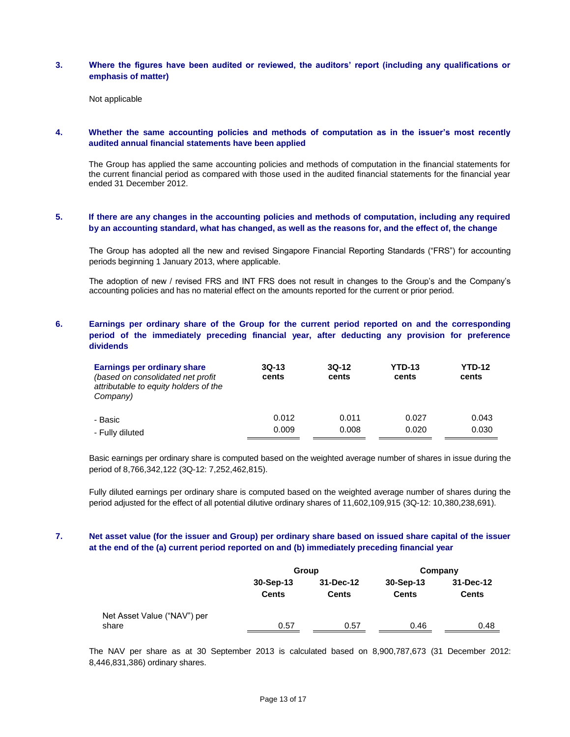### **3. Where the figures have been audited or reviewed, the auditors' report (including any qualifications or emphasis of matter)**

Not applicable

## **4. Whether the same accounting policies and methods of computation as in the issuer's most recently audited annual financial statements have been applied**

The Group has applied the same accounting policies and methods of computation in the financial statements for the current financial period as compared with those used in the audited financial statements for the financial year ended 31 December 2012.

## **5. If there are any changes in the accounting policies and methods of computation, including any required by an accounting standard, what has changed, as well as the reasons for, and the effect of, the change**

The Group has adopted all the new and revised Singapore Financial Reporting Standards ("FRS") for accounting periods beginning 1 January 2013, where applicable.

The adoption of new / revised FRS and INT FRS does not result in changes to the Group's and the Company's accounting policies and has no material effect on the amounts reported for the current or prior period.

## **6. Earnings per ordinary share of the Group for the current period reported on and the corresponding period of the immediately preceding financial year, after deducting any provision for preference dividends**

| Earnings per ordinary share<br>(based on consolidated net profit)<br>attributable to equity holders of the<br>Company) | $3Q-13$<br>cents | $3Q-12$<br>cents | <b>YTD-13</b><br>cents | <b>YTD-12</b><br>cents |
|------------------------------------------------------------------------------------------------------------------------|------------------|------------------|------------------------|------------------------|
| - Basic                                                                                                                | 0.012            | 0.011            | 0.027                  | 0.043                  |
| - Fully diluted                                                                                                        | 0.009            | 0.008            | 0.020                  | 0.030                  |

Basic earnings per ordinary share is computed based on the weighted average number of shares in issue during the period of 8,766,342,122 (3Q-12: 7,252,462,815).

Fully diluted earnings per ordinary share is computed based on the weighted average number of shares during the period adjusted for the effect of all potential dilutive ordinary shares of 11,602,109,915 (3Q-12: 10,380,238,691).

## **7. Net asset value (for the issuer and Group) per ordinary share based on issued share capital of the issuer at the end of the (a) current period reported on and (b) immediately preceding financial year**

|                             |              | Group        |              | Company      |  |  |
|-----------------------------|--------------|--------------|--------------|--------------|--|--|
|                             | $30-Sep-13$  | 31-Dec-12    | $30-Sep-13$  | 31-Dec-12    |  |  |
|                             | <b>Cents</b> | <b>Cents</b> | <b>Cents</b> | <b>Cents</b> |  |  |
| Net Asset Value ("NAV") per |              |              |              |              |  |  |
| share                       | 0.57         | 0.57         | 0.46         | 0.48         |  |  |

The NAV per share as at 30 September 2013 is calculated based on 8,900,787,673 (31 December 2012: 8,446,831,386) ordinary shares.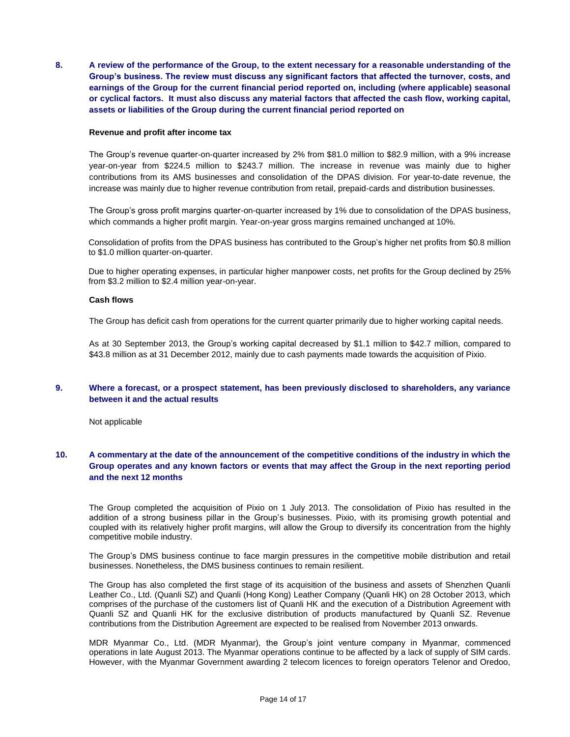**8. A review of the performance of the Group, to the extent necessary for a reasonable understanding of the Group's business. The review must discuss any significant factors that affected the turnover, costs, and earnings of the Group for the current financial period reported on, including (where applicable) seasonal or cyclical factors. It must also discuss any material factors that affected the cash flow, working capital, assets or liabilities of the Group during the current financial period reported on**

#### **Revenue and profit after income tax**

The Group's revenue quarter-on-quarter increased by 2% from \$81.0 million to \$82.9 million, with a 9% increase year-on-year from \$224.5 million to \$243.7 million. The increase in revenue was mainly due to higher contributions from its AMS businesses and consolidation of the DPAS division. For year-to-date revenue, the increase was mainly due to higher revenue contribution from retail, prepaid-cards and distribution businesses.

The Group's gross profit margins quarter-on-quarter increased by 1% due to consolidation of the DPAS business, which commands a higher profit margin. Year-on-year gross margins remained unchanged at 10%.

Consolidation of profits from the DPAS business has contributed to the Group's higher net profits from \$0.8 million to \$1.0 million quarter-on-quarter.

Due to higher operating expenses, in particular higher manpower costs, net profits for the Group declined by 25% from \$3.2 million to \$2.4 million year-on-year.

### **Cash flows**

The Group has deficit cash from operations for the current quarter primarily due to higher working capital needs.

As at 30 September 2013, the Group's working capital decreased by \$1.1 million to \$42.7 million, compared to \$43.8 million as at 31 December 2012, mainly due to cash payments made towards the acquisition of Pixio.

## **9. Where a forecast, or a prospect statement, has been previously disclosed to shareholders, any variance between it and the actual results**

Not applicable

## **10. A commentary at the date of the announcement of the competitive conditions of the industry in which the Group operates and any known factors or events that may affect the Group in the next reporting period and the next 12 months**

The Group completed the acquisition of Pixio on 1 July 2013. The consolidation of Pixio has resulted in the addition of a strong business pillar in the Group's businesses. Pixio, with its promising growth potential and coupled with its relatively higher profit margins, will allow the Group to diversify its concentration from the highly competitive mobile industry.

The Group's DMS business continue to face margin pressures in the competitive mobile distribution and retail businesses. Nonetheless, the DMS business continues to remain resilient.

The Group has also completed the first stage of its acquisition of the business and assets of Shenzhen Quanli Leather Co., Ltd. (Quanli SZ) and Quanli (Hong Kong) Leather Company (Quanli HK) on 28 October 2013, which comprises of the purchase of the customers list of Quanli HK and the execution of a Distribution Agreement with Quanli SZ and Quanli HK for the exclusive distribution of products manufactured by Quanli SZ. Revenue contributions from the Distribution Agreement are expected to be realised from November 2013 onwards.

MDR Myanmar Co., Ltd. (MDR Myanmar), the Group's joint venture company in Myanmar, commenced operations in late August 2013. The Myanmar operations continue to be affected by a lack of supply of SIM cards. However, with the Myanmar Government awarding 2 telecom licences to foreign operators Telenor and Oredoo,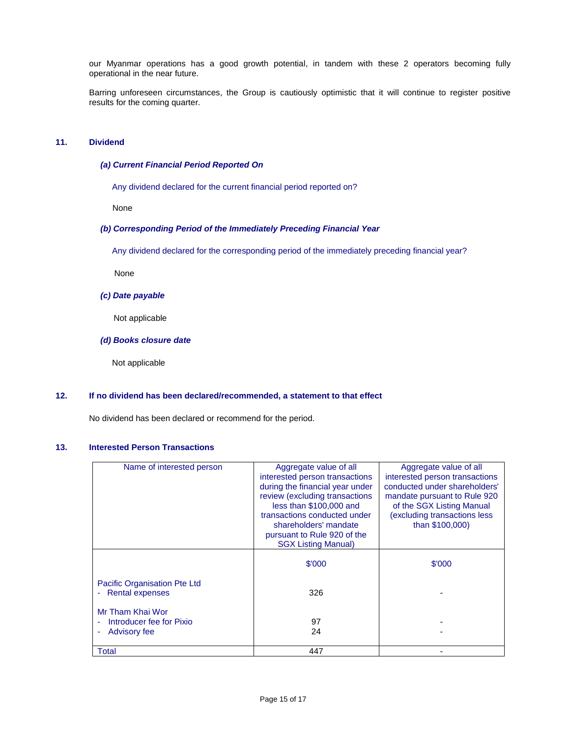our Myanmar operations has a good growth potential, in tandem with these 2 operators becoming fully operational in the near future.

Barring unforeseen circumstances, the Group is cautiously optimistic that it will continue to register positive results for the coming quarter.

## **11. Dividend**

### *(a) Current Financial Period Reported On*

Any dividend declared for the current financial period reported on?

None

### *(b) Corresponding Period of the Immediately Preceding Financial Year*

Any dividend declared for the corresponding period of the immediately preceding financial year?

None

#### *(c) Date payable*

Not applicable

### *(d) Books closure date*

Not applicable

### **12. If no dividend has been declared/recommended, a statement to that effect**

No dividend has been declared or recommend for the period.

## **13. Interested Person Transactions**

| Name of interested person    | Aggregate value of all          | Aggregate value of all         |
|------------------------------|---------------------------------|--------------------------------|
|                              | interested person transactions  | interested person transactions |
|                              | during the financial year under | conducted under shareholders'  |
|                              | review (excluding transactions  | mandate pursuant to Rule 920   |
|                              | less than \$100,000 and         | of the SGX Listing Manual      |
|                              | transactions conducted under    | (excluding transactions less   |
|                              | shareholders' mandate           | than \$100,000)                |
|                              | pursuant to Rule 920 of the     |                                |
|                              | <b>SGX Listing Manual)</b>      |                                |
|                              | \$'000                          | \$'000                         |
|                              |                                 |                                |
| Pacific Organisation Pte Ltd |                                 |                                |
| <b>Rental expenses</b>       | 326                             |                                |
|                              |                                 |                                |
| Mr Tham Khai Wor             |                                 |                                |
| Introducer fee for Pixio     | 97                              |                                |
| <b>Advisory fee</b>          | 24                              |                                |
|                              |                                 |                                |
| Total                        | 447                             |                                |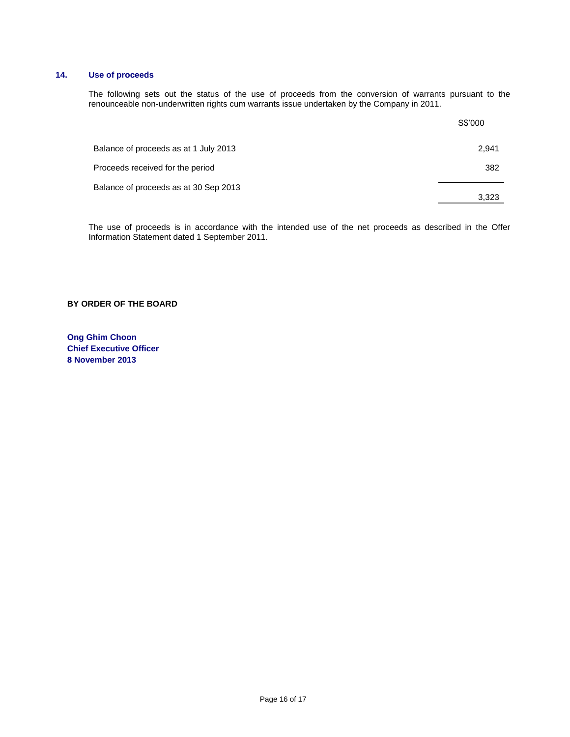## **14. Use of proceeds**

The following sets out the status of the use of proceeds from the conversion of warrants pursuant to the renounceable non-underwritten rights cum warrants issue undertaken by the Company in 2011.

|                                       | S\$'000 |
|---------------------------------------|---------|
| Balance of proceeds as at 1 July 2013 | 2,941   |
| Proceeds received for the period      | 382     |
| Balance of proceeds as at 30 Sep 2013 | 3,323   |

The use of proceeds is in accordance with the intended use of the net proceeds as described in the Offer Information Statement dated 1 September 2011.

## **BY ORDER OF THE BOARD**

**Ong Ghim Choon Chief Executive Officer 8 November 2013**